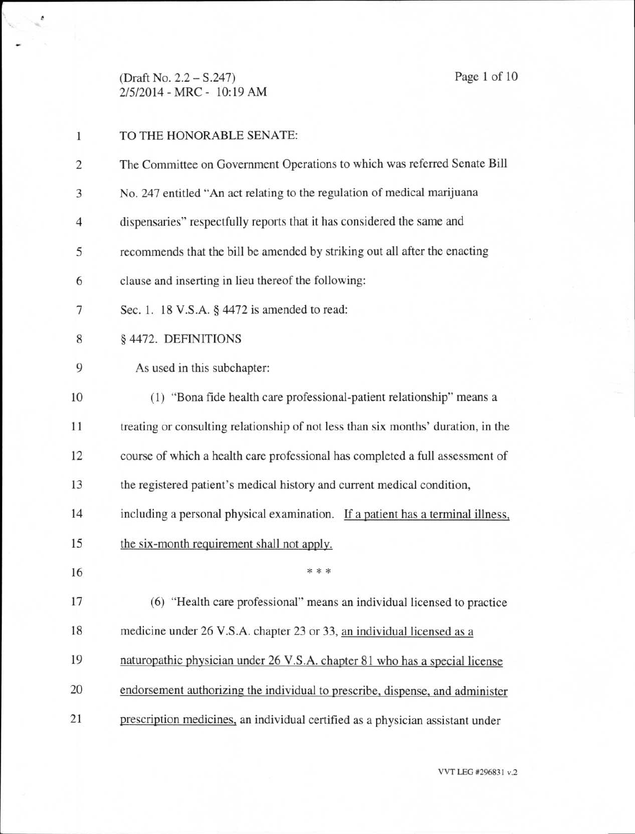(Draft No. 2.2 — S.247) Page 1 of 10 2/5/2014 - MRC - 10:19 AM

×

| 1              | TO THE HONORABLE SENATE:                                                          |
|----------------|-----------------------------------------------------------------------------------|
| 2              | The Committee on Government Operations to which was referred Senate Bill          |
| 3              | No. 247 entitled "An act relating to the regulation of medical marijuana          |
| $\overline{4}$ | dispensaries" respectfully reports that it has considered the same and            |
| 5              | recommends that the bill be amended by striking out all after the enacting        |
| 6              | clause and inserting in lieu thereof the following:                               |
| 7              | Sec. 1. 18 V.S.A. § 4472 is amended to read:                                      |
| 8              | § 4472. DEFINITIONS                                                               |
| 9              | As used in this subchapter:                                                       |
| 10             | (1) "Bona fide health care professional-patient relationship" means a             |
| 11             | treating or consulting relationship of not less than six months' duration, in the |
| 12             | course of which a health care professional has completed a full assessment of     |
| 13             | the registered patient's medical history and current medical condition,           |
| 14             | including a personal physical examination. If a patient has a terminal illness,   |
| 15             | the six-month requirement shall not apply.                                        |
| 16             | * * *                                                                             |
| 17             | (6) "Health care professional" means an individual licensed to practice           |
| 18             | medicine under 26 V.S.A. chapter 23 or 33, an individual licensed as a            |
| 19             | naturopathic physician under 26 V.S.A. chapter 81 who has a special license       |
| 20             | endorsement authorizing the individual to prescribe, dispense, and administer     |
| 21             | prescription medicines, an individual certified as a physician assistant under    |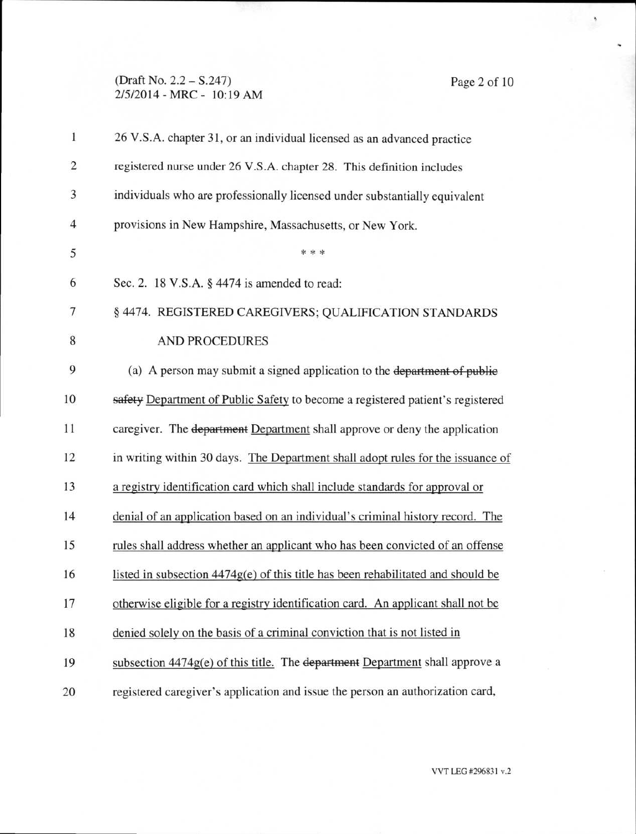### (Draft No. 2.2 — S.247) Page 2 of 10 2/5/2014 - MRC - 10:19 AM

ì

| 1              | 26 V.S.A. chapter 31, or an individual licensed as an advanced practice            |
|----------------|------------------------------------------------------------------------------------|
| $\overline{c}$ | registered nurse under 26 V.S.A. chapter 28. This definition includes              |
| 3              | individuals who are professionally licensed under substantially equivalent         |
| $\overline{4}$ | provisions in New Hampshire, Massachusetts, or New York.                           |
| 5              | * * *                                                                              |
| 6              | Sec. 2. 18 V.S.A. § 4474 is amended to read:                                       |
| $\tau$         | § 4474. REGISTERED CAREGIVERS; QUALIFICATION STANDARDS                             |
| 8              | <b>AND PROCEDURES</b>                                                              |
| 9              | (a) A person may submit a signed application to the department of public           |
| 10             | safety Department of Public Safety to become a registered patient's registered     |
| 11             | caregiver. The department Department shall approve or deny the application         |
| 12             | in writing within 30 days. The Department shall adopt rules for the issuance of    |
| 13             | a registry identification card which shall include standards for approval or       |
| 14             | denial of an application based on an individual's criminal history record. The     |
| 15             | rules shall address whether an applicant who has been convicted of an offense      |
| 16             | listed in subsection $4474g(e)$ of this title has been rehabilitated and should be |
| 17             | otherwise eligible for a registry identification card. An applicant shall not be   |
| 18             | denied solely on the basis of a criminal conviction that is not listed in          |
| 19             | subsection $4474g(e)$ of this title. The department Department shall approve a     |
| 20             | registered caregiver's application and issue the person an authorization card,     |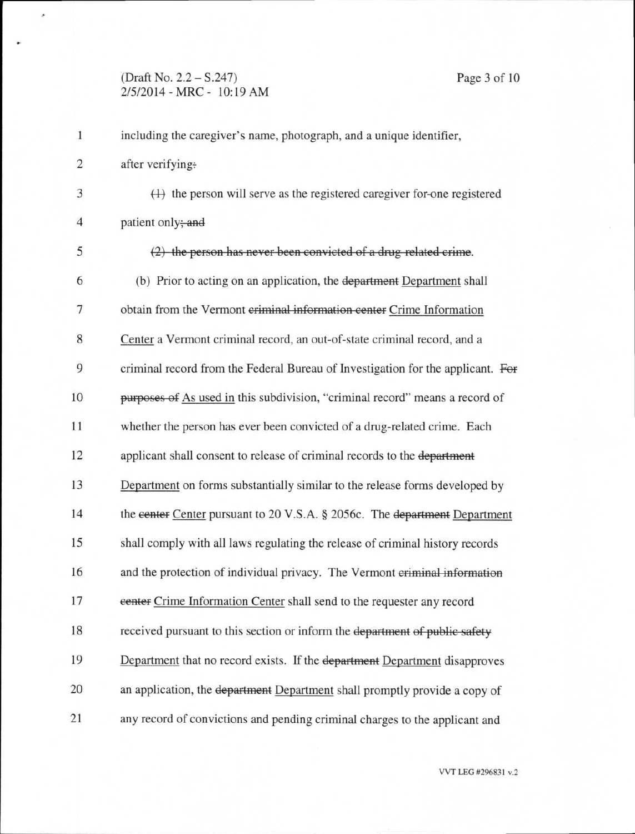#### **(Draft No. 2.2 - S.247)** Page 3 of 10 **2/5/2014 - MRC - 10:19** AM

**1 including the caregiver's name, photograph, and a unique identifier,** 

**2 after verifying:** 

è

**3 (-14 the person will serve as the registered caregiver for-one registered 4 patient only;-end** 

**5**  (2) the person has never been convicted of a drug related crime. **6** (b) Prior to acting on an application, the department Department shall 7 obtain from the Vermont eriminal information center Crime Information **8 Center a Vermont criminal record, an out-of-state criminal record, and a 9 criminal record from the Federal Bureau of Investigation for the applicant. Fef**  10 **purposes of** As used in this subdivision, "criminal record" means a record of **11 whether the person has ever been convicted of a drug-related crime. Each 12 applicant shall consent to release of criminal records to the department**  13 **Department on forms substantially similar to the release forms developed by**  14 the **center Center pursuant to 20 V.S.A. § 2056c. The department Department**  15 shall **comply with all laws regulating the release of criminal history records 16 and the protection of individual privacy. The Vermont eriminal-infermation 17 center Crime Information Center shall send to the requester any record**  18 received pursuant to this section or inform the department of public safety 19 Department that no record **exists. If the department Department disapproves**  20 an application, the department Department **shall promptly provide a** copy of 21 any record of convictions and pending **criminal charges to the applicant** and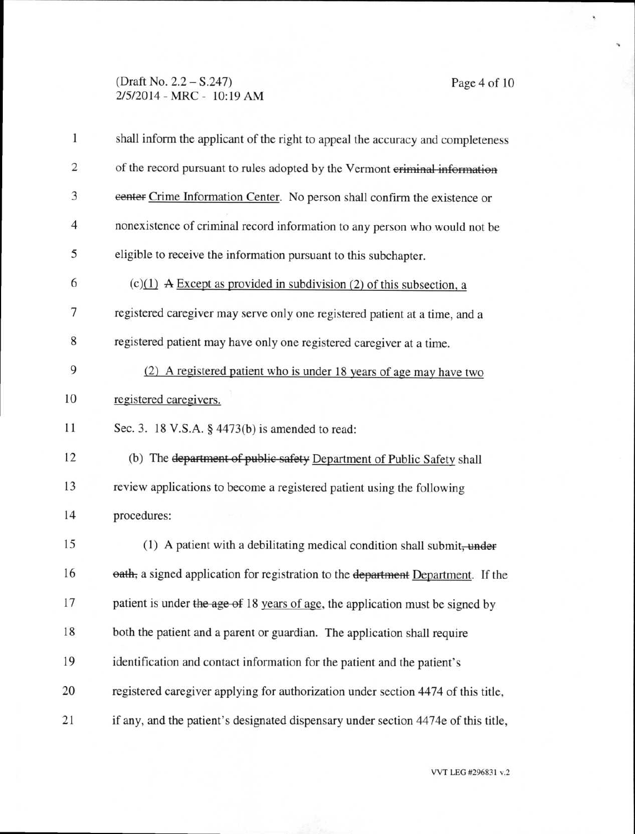# (Draft No. 2.2 — S.247) Page 4 of 10 2/5/2014 - MRC - 10:19 AM

i,

| 1                       | shall inform the applicant of the right to appeal the accuracy and completeness    |  |
|-------------------------|------------------------------------------------------------------------------------|--|
| $\overline{\mathbf{c}}$ | of the record pursuant to rules adopted by the Vermont criminal information        |  |
| 3                       | eenter Crime Information Center. No person shall confirm the existence or          |  |
| $\overline{4}$          | nonexistence of criminal record information to any person who would not be         |  |
| 5                       | eligible to receive the information pursuant to this subchapter.                   |  |
| 6                       | $(c)(1)$ A Except as provided in subdivision (2) of this subsection, a             |  |
| 7                       | registered caregiver may serve only one registered patient at a time, and a        |  |
| 8                       | registered patient may have only one registered caregiver at a time.               |  |
| 9                       | (2) A registered patient who is under 18 years of age may have two                 |  |
| 10                      | registered caregivers.                                                             |  |
| 11                      | Sec. 3. 18 V.S.A. § 4473(b) is amended to read:                                    |  |
| 12                      | (b) The department of public safety Department of Public Safety shall              |  |
| 13                      | review applications to become a registered patient using the following             |  |
| 14                      | procedures:                                                                        |  |
| 15                      | (1) A patient with a debilitating medical condition shall submit, under            |  |
| 16                      | eath, a signed application for registration to the department Department. If the   |  |
| 17                      | patient is under the age of 18 years of age, the application must be signed by     |  |
| 18                      | both the patient and a parent or guardian. The application shall require           |  |
| 19                      | identification and contact information for the patient and the patient's           |  |
| 20                      | registered caregiver applying for authorization under section 4474 of this title,  |  |
| 21                      | if any, and the patient's designated dispensary under section 4474e of this title, |  |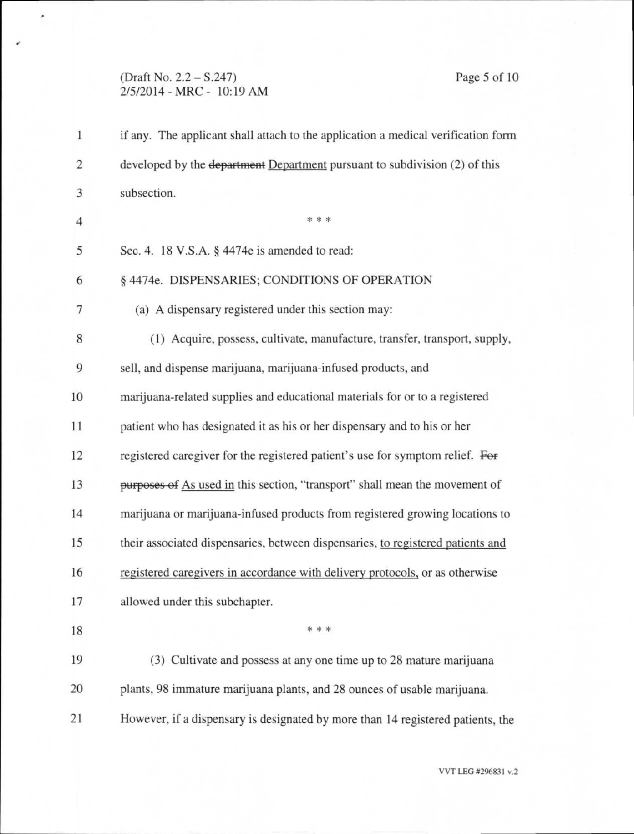## (Draft No. 2.2 — S.247) Page 5 of 10 2/5/2014 - MRC - 10:19 AM

 $\epsilon$ 

| $\mathbf{1}$ | if any. The applicant shall attach to the application a medical verification form     |
|--------------|---------------------------------------------------------------------------------------|
| 2            | developed by the <del>department</del> Department pursuant to subdivision (2) of this |
| 3            | subsection.                                                                           |
| 4            | * * *                                                                                 |
| 5            | Sec. 4. 18 V.S.A. § 4474e is amended to read:                                         |
| 6            | § 4474e. DISPENSARIES; CONDITIONS OF OPERATION                                        |
| 7            | (a) A dispensary registered under this section may:                                   |
| 8            | (1) Acquire, possess, cultivate, manufacture, transfer, transport, supply,            |
| 9            | sell, and dispense marijuana, marijuana-infused products, and                         |
| 10           | marijuana-related supplies and educational materials for or to a registered           |
| 11           | patient who has designated it as his or her dispensary and to his or her              |
| 12           | registered caregiver for the registered patient's use for symptom relief. For         |
| 13           | purposes of As used in this section, "transport" shall mean the movement of           |
| 14           | marijuana or marijuana-infused products from registered growing locations to          |
| 15           | their associated dispensaries, between dispensaries, to registered patients and       |
| 16           | registered caregivers in accordance with delivery protocols, or as otherwise          |
| 17           | allowed under this subchapter.                                                        |
| 18           | * * *                                                                                 |
| 19           | (3) Cultivate and possess at any one time up to 28 mature marijuana                   |
| 20           | plants, 98 immature marijuana plants, and 28 ounces of usable marijuana.              |
| 21           | However, if a dispensary is designated by more than 14 registered patients, the       |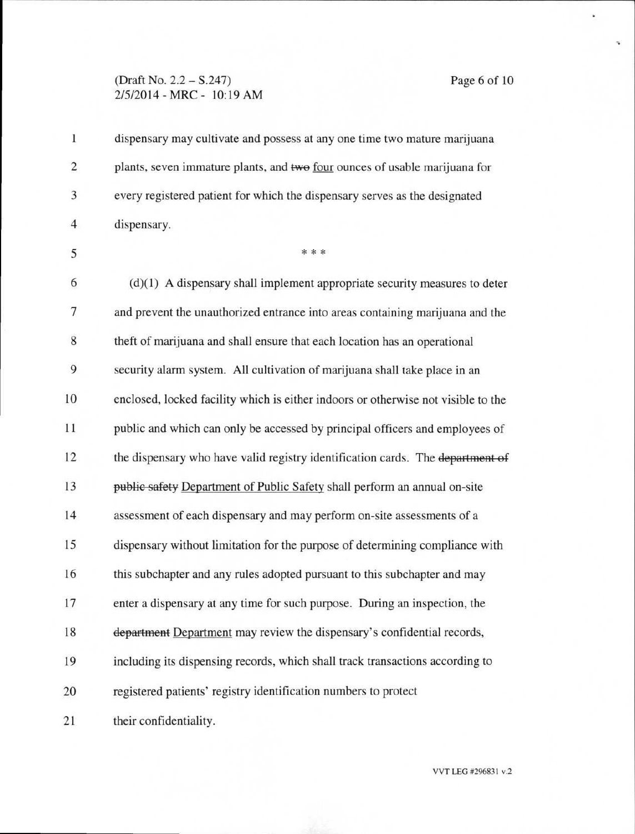#### (Draft No. 2.2 — S.247) Page 6 of 10 2/5/2014 - MRC - 10:19 AM

1 dispensary may cultivate and possess at any one time two mature marijuana 2 plants, seven immature plants, and two four ounces of usable marijuana for 3 every registered patient for which the dispensary serves as the designated 4 dispensary.  $5$  \* \* \*  $6$  (d)(1) A dispensary shall implement appropriate security measures to deter 7 and prevent the unauthorized entrance into areas containing marijuana and the 8 theft of marijuana and shall ensure that each location has an operational 9 security alarm system. All cultivation of marijuana shall take place in an 10 enclosed, locked facility which is either indoors or otherwise not visible to the 11 public and which can only be accessed by principal officers and employees of 12 the dispensary who have valid registry identification cards. The department of 13 public safety Department of Public Safety shall perform an annual on-site 14 assessment of each dispensary and may perform on-site assessments of a 15 dispensary without limitation for the purpose of determining compliance with **16** this subchapter and any rules adopted pursuant to this subchapter and may 17 enter a dispensary at any time for such purpose. During an inspection, the 18 department Department may review the dispensary's confidential records, 19 including its dispensing records, which shall track transactions according to 20 registered patients' registry identification numbers to protect 21 their confidentiality.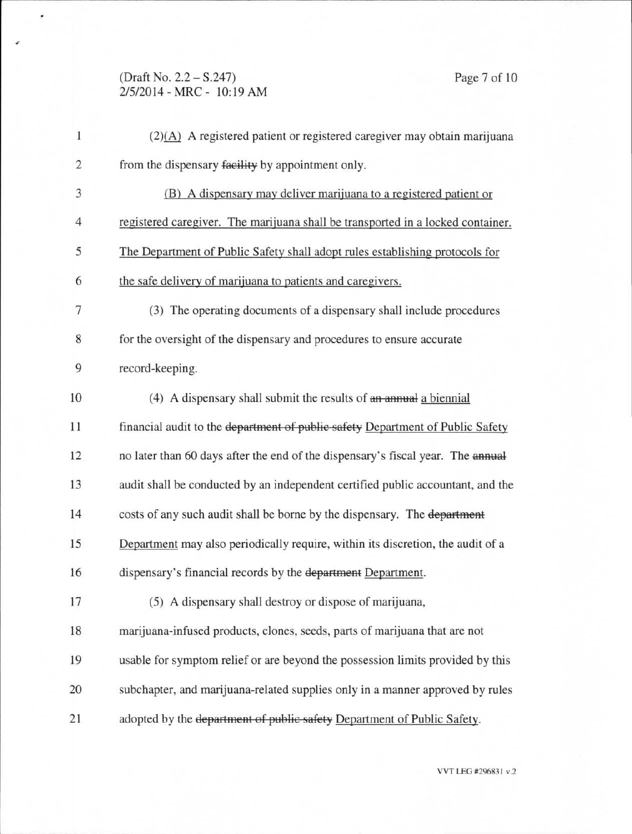# (Draft No. 2.2 — S.247) Page 7 of 10 2/5/2014 - MRC - 10:19 AM

٠

| $\mathbf{1}$   | $(2)(A)$ A registered patient or registered caregiver may obtain marijuana      |
|----------------|---------------------------------------------------------------------------------|
| $\overline{c}$ | from the dispensary facility by appointment only.                               |
| 3              | (B) A dispensary may deliver marijuana to a registered patient or               |
| 4              | registered caregiver. The marijuana shall be transported in a locked container. |
| 5              | The Department of Public Safety shall adopt rules establishing protocols for    |
| 6              | the safe delivery of marijuana to patients and caregivers.                      |
| 7              | (3) The operating documents of a dispensary shall include procedures            |
| 8              | for the oversight of the dispensary and procedures to ensure accurate           |
| 9              | record-keeping.                                                                 |
| 10             | (4) A dispensary shall submit the results of an annual a biennial               |
| 11             | financial audit to the department of public safety Department of Public Safety  |
| 12             | no later than 60 days after the end of the dispensary's fiscal year. The annual |
| 13             | audit shall be conducted by an independent certified public accountant, and the |
| 14             | costs of any such audit shall be borne by the dispensary. The department        |
| 15             | Department may also periodically require, within its discretion, the audit of a |
| 16             | dispensary's financial records by the department Department.                    |
| 17             | (5) A dispensary shall destroy or dispose of marijuana,                         |
| 18             | marijuana-infused products, clones, seeds, parts of marijuana that are not      |
| 19             | usable for symptom relief or are beyond the possession limits provided by this  |
| 20             | subchapter, and marijuana-related supplies only in a manner approved by rules   |
| 21             | adopted by the department of public safety Department of Public Safety.         |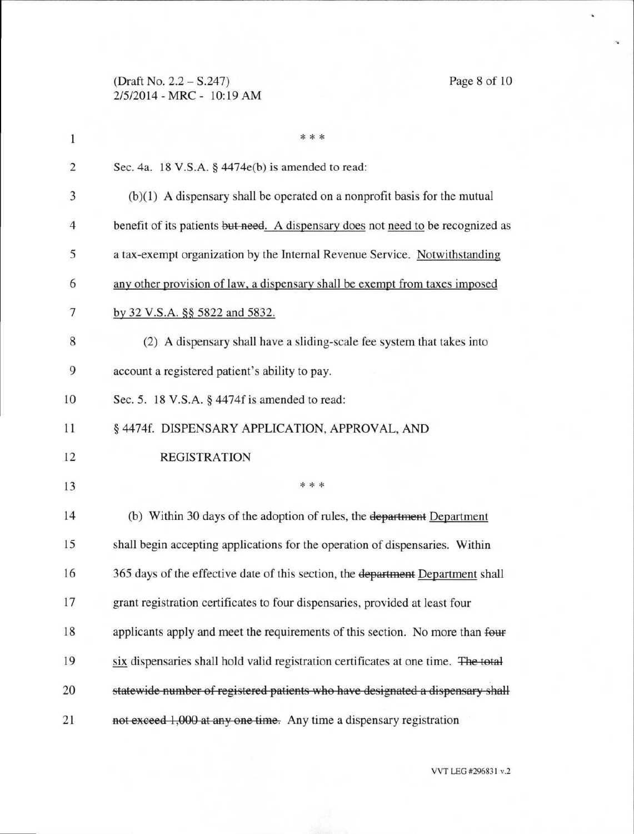(Draft No. 2.2 — S.247) Page 8 of 10 2/5/2014 - MRC - 10:19 AM

| $\mathbf{1}$   | * * *                                                                              |  |
|----------------|------------------------------------------------------------------------------------|--|
| $\overline{c}$ | Sec. 4a. 18 V.S.A. § 4474e(b) is amended to read:                                  |  |
| 3              | $(b)(1)$ A dispensary shall be operated on a nonprofit basis for the mutual        |  |
| 4              | benefit of its patients but need. A dispensary does not need to be recognized as   |  |
| 5              | a tax-exempt organization by the Internal Revenue Service. Notwithstanding         |  |
| 6              | any other provision of law, a dispensary shall be exempt from taxes imposed        |  |
| 7              | by 32 V.S.A. §§ 5822 and 5832.                                                     |  |
| 8              | (2) A dispensary shall have a sliding-scale fee system that takes into             |  |
| 9              | account a registered patient's ability to pay.                                     |  |
| 10             | Sec. 5. 18 V.S.A. § 4474f is amended to read:                                      |  |
| 11             | § 4474f. DISPENSARY APPLICATION, APPROVAL, AND                                     |  |
| 12             | <b>REGISTRATION</b>                                                                |  |
| 13             | * * *                                                                              |  |
| 14             | (b) Within 30 days of the adoption of rules, the department Department             |  |
| 15             | shall begin accepting applications for the operation of dispensaries. Within       |  |
| 16             | 365 days of the effective date of this section, the department Department shall    |  |
| 17             | grant registration certificates to four dispensaries, provided at least four       |  |
| 18             | applicants apply and meet the requirements of this section. No more than four      |  |
| 19             | six dispensaries shall hold valid registration certificates at one time. The total |  |
| 20             | statewide number of registered patients who have designated a dispensary shall     |  |
| 21             | not exceed 1,000 at any one time. Any time a dispensary registration               |  |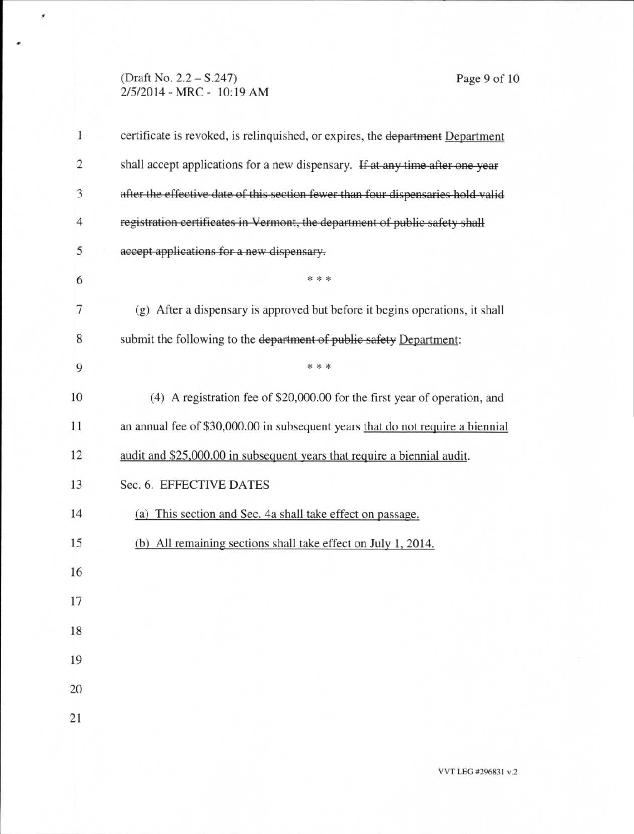### (Draft No. 2.2 - S.247) Page 9 of 10 2/5/2014 - MRC - 10:19 AM

 $\pmb{\cdot}$ 

| $\mathbf{1}$ | certificate is revoked, is relinquished, or expires, the department Department   |  |
|--------------|----------------------------------------------------------------------------------|--|
| 2            | shall accept applications for a new dispensary. If at any time after one year    |  |
| 3            | after the effective date of this section fewer than four dispensaries hold valid |  |
| 4            | registration certificates in Vermont, the department of public safety shall      |  |
| 5            | accept applications for a new dispensary.                                        |  |
| 6            | * * *                                                                            |  |
| 7            | (g) After a dispensary is approved but before it begins operations, it shall     |  |
| 8            | submit the following to the department of public safety Department:              |  |
| 9            | * * *                                                                            |  |
| 10           | (4) A registration fee of \$20,000.00 for the first year of operation, and       |  |
| 11           | an annual fee of \$30,000.00 in subsequent years that do not require a biennial  |  |
| 12           | audit and \$25,000.00 in subsequent years that require a biennial audit.         |  |
| 13           | Sec. 6. EFFECTIVE DATES                                                          |  |
| 14           | (a) This section and Sec. 4a shall take effect on passage.                       |  |
| 15           | (b) All remaining sections shall take effect on July 1, 2014.                    |  |
| 16           |                                                                                  |  |
| 17           |                                                                                  |  |
| 18           |                                                                                  |  |
| 19           |                                                                                  |  |
| 20           |                                                                                  |  |
| 21           |                                                                                  |  |